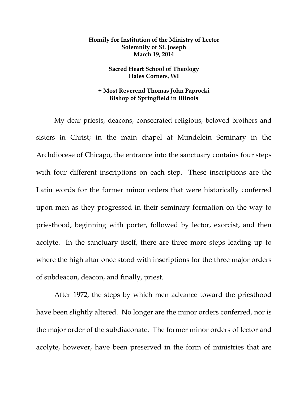## **Homily for Institution of the Ministry of Lector Solemnity of St. Joseph March 19, 2014**

## **Sacred Heart School of Theology Hales Corners, WI**

## **+ Most Reverend Thomas John Paprocki Bishop of Springfield in Illinois**

My dear priests, deacons, consecrated religious, beloved brothers and sisters in Christ; in the main chapel at Mundelein Seminary in the Archdiocese of Chicago, the entrance into the sanctuary contains four steps with four different inscriptions on each step. These inscriptions are the Latin words for the former minor orders that were historically conferred upon men as they progressed in their seminary formation on the way to priesthood, beginning with porter, followed by lector, exorcist, and then acolyte. In the sanctuary itself, there are three more steps leading up to where the high altar once stood with inscriptions for the three major orders of subdeacon, deacon, and finally, priest.

After 1972, the steps by which men advance toward the priesthood have been slightly altered. No longer are the minor orders conferred, nor is the major order of the subdiaconate. The former minor orders of lector and acolyte, however, have been preserved in the form of ministries that are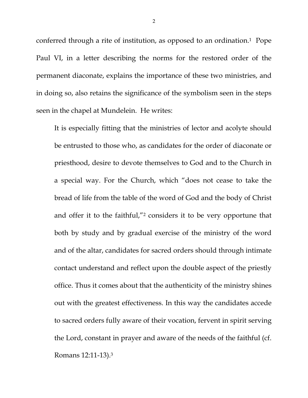conferred through a rite of institution, as opposed to an ordination.1 Pope Paul VI, in a letter describing the norms for the restored order of the permanent diaconate, explains the importance of these two ministries, and in doing so, also retains the significance of the symbolism seen in the steps seen in the chapel at Mundelein. He writes:

It is especially fitting that the ministries of lector and acolyte should be entrusted to those who, as candidates for the order of diaconate or priesthood, desire to devote themselves to God and to the Church in a special way. For the Church, which "does not cease to take the bread of life from the table of the word of God and the body of Christ and offer it to the faithful,"2 considers it to be very opportune that both by study and by gradual exercise of the ministry of the word and of the altar, candidates for sacred orders should through intimate contact understand and reflect upon the double aspect of the priestly office. Thus it comes about that the authenticity of the ministry shines out with the greatest effectiveness. In this way the candidates accede to sacred orders fully aware of their vocation, fervent in spirit serving the Lord, constant in prayer and aware of the needs of the faithful (cf. Romans 12:11-13).3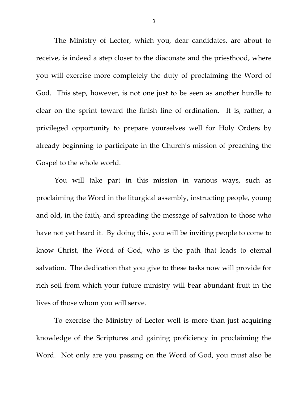The Ministry of Lector, which you, dear candidates, are about to receive, is indeed a step closer to the diaconate and the priesthood, where you will exercise more completely the duty of proclaiming the Word of God. This step, however, is not one just to be seen as another hurdle to clear on the sprint toward the finish line of ordination. It is, rather, a privileged opportunity to prepare yourselves well for Holy Orders by already beginning to participate in the Church's mission of preaching the Gospel to the whole world.

You will take part in this mission in various ways, such as proclaiming the Word in the liturgical assembly, instructing people, young and old, in the faith, and spreading the message of salvation to those who have not yet heard it. By doing this, you will be inviting people to come to know Christ, the Word of God, who is the path that leads to eternal salvation. The dedication that you give to these tasks now will provide for rich soil from which your future ministry will bear abundant fruit in the lives of those whom you will serve.

To exercise the Ministry of Lector well is more than just acquiring knowledge of the Scriptures and gaining proficiency in proclaiming the Word. Not only are you passing on the Word of God, you must also be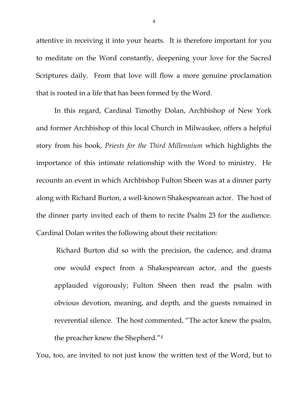attentive in receiving it into your hearts. It is therefore important for you to meditate on the Word constantly, deepening your love for the Sacred Scriptures daily. From that love will flow a more genuine proclamation that is rooted in a life that has been formed by the Word.

In this regard, Cardinal Timothy Dolan, Archbishop of New York and former Archbishop of this local Church in Milwaukee, offers a helpful story from his book, *Priests for the Third Millennium* which highlights the importance of this intimate relationship with the Word to ministry. He recounts an event in which Archbishop Fulton Sheen was at a dinner party along with Richard Burton, a well-known Shakespearean actor. The host of the dinner party invited each of them to recite Psalm 23 for the audience. Cardinal Dolan writes the following about their recitation:

Richard Burton did so with the precision, the cadence, and drama one would expect from a Shakespearean actor, and the guests applauded vigorously; Fulton Sheen then read the psalm with obvious devotion, meaning, and depth, and the guests remained in reverential silence. The host commented, "The actor knew the psalm, the preacher knew the Shepherd."4

You, too, are invited to not just know the written text of the Word, but to

4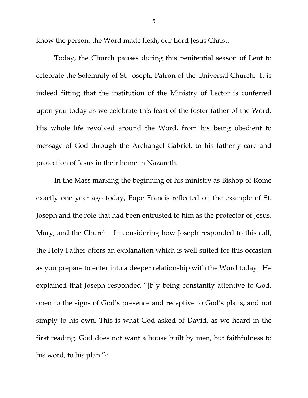know the person, the Word made flesh, our Lord Jesus Christ.

 Today, the Church pauses during this penitential season of Lent to celebrate the Solemnity of St. Joseph, Patron of the Universal Church. It is indeed fitting that the institution of the Ministry of Lector is conferred upon you today as we celebrate this feast of the foster-father of the Word. His whole life revolved around the Word, from his being obedient to message of God through the Archangel Gabriel, to his fatherly care and protection of Jesus in their home in Nazareth.

In the Mass marking the beginning of his ministry as Bishop of Rome exactly one year ago today, Pope Francis reflected on the example of St. Joseph and the role that had been entrusted to him as the protector of Jesus, Mary, and the Church. In considering how Joseph responded to this call, the Holy Father offers an explanation which is well suited for this occasion as you prepare to enter into a deeper relationship with the Word today. He explained that Joseph responded "[b]y being constantly attentive to God, open to the signs of God's presence and receptive to God's plans, and not simply to his own. This is what God asked of David, as we heard in the first reading. God does not want a house built by men, but faithfulness to his word, to his plan."5